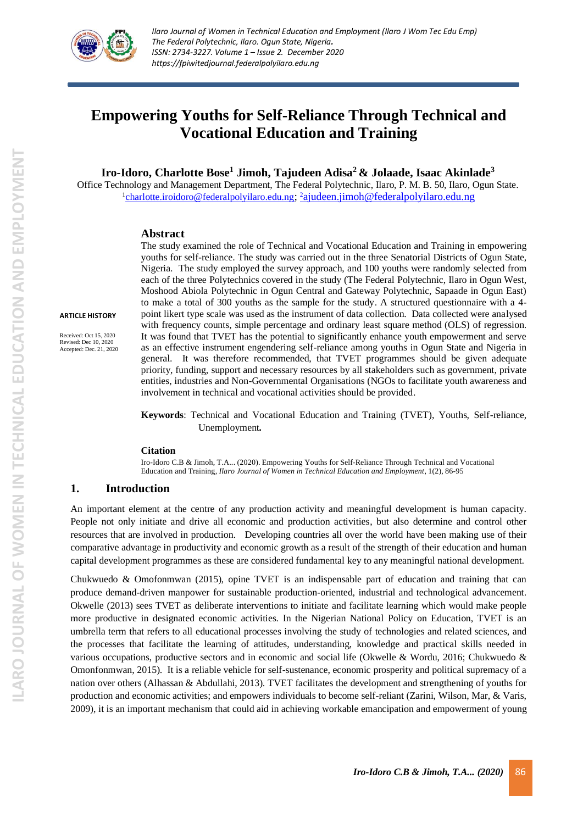

# **Empowering Youths for Self-Reliance Through Technical and Vocational Education and Training**

**Iro-Idoro, Charlotte Bose<sup>1</sup> Jimoh, Tajudeen Adisa<sup>2</sup> & Jolaade, Isaac Akinlade<sup>3</sup>**

Office Technology and Management Department, The Federal Polytechnic, Ilaro, P. M. B. 50, Ilaro, Ogun State*.* <sup>1</sup>[charlotte.iroidoro@federalpolyilaro.edu.ng](mailto:charlotte.iroidoro@federalpolyilaro.edu.ng); <sup>2</sup>[ajudeen.jimoh@federalpolyilaro.edu.ng](mailto:2ajudeen.jimoh@federalpolyilaro.edu.ng)

#### **Abstract**

**ARTICLE HISTORY**

Received: Oct 15, 2020 Revised: Dec 10, 2020 Accepted: Dec. 21, 2020

The study examined the role of Technical and Vocational Education and Training in empowering youths for self-reliance. The study was carried out in the three Senatorial Districts of Ogun State, Nigeria. The study employed the survey approach, and 100 youths were randomly selected from each of the three Polytechnics covered in the study (The Federal Polytechnic, Ilaro in Ogun West, Moshood Abiola Polytechnic in Ogun Central and Gateway Polytechnic, Sapaade in Ogun East) to make a total of 300 youths as the sample for the study. A structured questionnaire with a 4 point likert type scale was used as the instrument of data collection. Data collected were analysed with frequency counts, simple percentage and ordinary least square method (OLS) of regression. It was found that TVET has the potential to significantly enhance youth empowerment and serve as an effective instrument engendering self-reliance among youths in Ogun State and Nigeria in general. It was therefore recommended, that TVET programmes should be given adequate priority, funding, support and necessary resources by all stakeholders such as government, private entities, industries and Non-Governmental Organisations (NGOs to facilitate youth awareness and involvement in technical and vocational activities should be provided.

**Keywords**: Technical and Vocational Education and Training (TVET), Youths, Self-reliance, Unemployment*.*

#### **Citation**

Iro-Idoro C.B & Jimoh, T.A... (2020). Empowering Youths for Self-Reliance Through Technical and Vocational Education and Training, *Ilaro Journal of Women in Technical Education and Employment*, 1(2), 86-95

### **1. Introduction**

An important element at the centre of any production activity and meaningful development is human capacity. People not only initiate and drive all economic and production activities, but also determine and control other resources that are involved in production. Developing countries all over the world have been making use of their comparative advantage in productivity and economic growth as a result of the strength of their education and human capital development programmes as these are considered fundamental key to any meaningful national development.

Chukwuedo & Omofonmwan (2015), opine TVET is an indispensable part of education and training that can produce demand-driven manpower for sustainable production-oriented, industrial and technological advancement. Okwelle (2013) sees TVET as deliberate interventions to initiate and facilitate learning which would make people more productive in designated economic activities. In the Nigerian National Policy on Education, TVET is an umbrella term that refers to all educational processes involving the study of technologies and related sciences, and the processes that facilitate the learning of attitudes, understanding, knowledge and practical skills needed in various occupations, productive sectors and in economic and social life (Okwelle & Wordu, 2016; Chukwuedo & Omonfonmwan, 2015). It is a reliable vehicle for self-sustenance, economic prosperity and political supremacy of a nation over others (Alhassan & Abdullahi, 2013). TVET facilitates the development and strengthening of youths for production and economic activities; and empowers individuals to become self-reliant (Zarini, Wilson, Mar, & Varis, 2009), it is an important mechanism that could aid in achieving workable emancipation and empowerment of young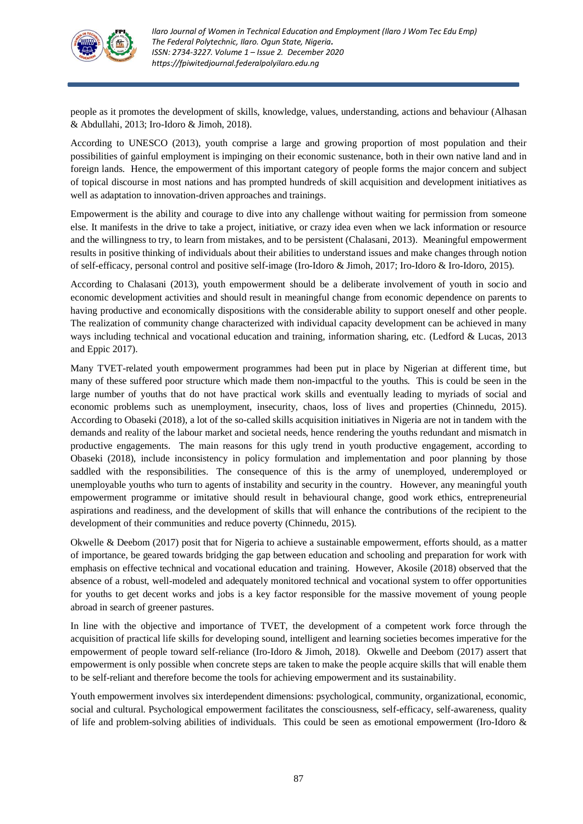

people as it promotes the development of skills, knowledge, values, understanding, actions and behaviour (Alhasan & Abdullahi, 2013; Iro-Idoro & Jimoh, 2018).

According to UNESCO (2013), youth comprise a large and growing proportion of most population and their possibilities of gainful employment is impinging on their economic sustenance, both in their own native land and in foreign lands. Hence, the empowerment of this important category of people forms the major concern and subject of topical discourse in most nations and has prompted hundreds of skill acquisition and development initiatives as well as adaptation to innovation-driven approaches and trainings.

Empowerment is the ability and courage to dive into any challenge without waiting for permission from someone else. It manifests in the drive to take a project, initiative, or crazy idea even when we lack information or resource and the willingness to try, to learn from mistakes, and to be persistent (Chalasani, 2013). Meaningful empowerment results in positive thinking of individuals about their abilities to understand issues and make changes through notion of self-efficacy, personal control and positive self-image (Iro-Idoro & Jimoh, 2017; Iro-Idoro & Iro-Idoro, 2015).

According to Chalasani (2013), youth empowerment should be a deliberate involvement of youth in socio and economic development activities and should result in meaningful change from economic dependence on parents to having productive and economically dispositions with the considerable ability to support oneself and other people. The realization of community change characterized with individual capacity development can be achieved in many ways including technical and vocational education and training, information sharing, etc. (Ledford & Lucas, 2013 and Eppic 2017).

Many TVET-related youth empowerment programmes had been put in place by Nigerian at different time, but many of these suffered poor structure which made them non-impactful to the youths. This is could be seen in the large number of youths that do not have practical work skills and eventually leading to myriads of social and economic problems such as unemployment, insecurity, chaos, loss of lives and properties (Chinnedu, 2015). According to Obaseki (2018), a lot of the so-called skills acquisition initiatives in Nigeria are not in tandem with the demands and reality of the labour market and societal needs, hence rendering the youths redundant and mismatch in productive engagements. The main reasons for this ugly trend in youth productive engagement, according to Obaseki (2018), include inconsistency in policy formulation and implementation and poor planning by those saddled with the responsibilities. The consequence of this is the army of unemployed, underemployed or unemployable youths who turn to agents of instability and security in the country. However, any meaningful youth empowerment programme or imitative should result in behavioural change, good work ethics, entrepreneurial aspirations and readiness, and the development of skills that will enhance the contributions of the recipient to the development of their communities and reduce poverty (Chinnedu, 2015).

Okwelle & Deebom (2017) posit that for Nigeria to achieve a sustainable empowerment, efforts should, as a matter of importance, be geared towards bridging the gap between education and schooling and preparation for work with emphasis on effective technical and vocational education and training. However, Akosile (2018) observed that the absence of a robust, well-modeled and adequately monitored technical and vocational system to offer opportunities for youths to get decent works and jobs is a key factor responsible for the massive movement of young people abroad in search of greener pastures.

In line with the objective and importance of TVET, the development of a competent work force through the acquisition of practical life skills for developing sound, intelligent and learning societies becomes imperative for the empowerment of people toward self-reliance (Iro-Idoro & Jimoh, 2018). Okwelle and Deebom (2017) assert that empowerment is only possible when concrete steps are taken to make the people acquire skills that will enable them to be self-reliant and therefore become the tools for achieving empowerment and its sustainability.

Youth empowerment involves six interdependent dimensions: psychological, community, organizational, economic, social and cultural. Psychological empowerment facilitates the consciousness, self-efficacy, self-awareness, quality of life and problem-solving abilities of individuals. This could be seen as emotional empowerment (Iro-Idoro &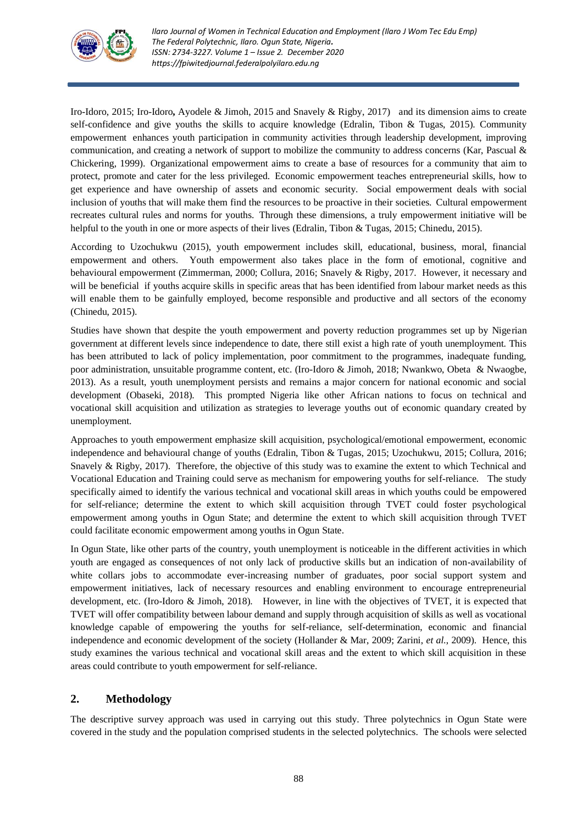

Iro-Idoro, 2015; Iro-Idoro**,** Ayodele & Jimoh, 2015 and Snavely & Rigby, 2017) and its dimension aims to create self-confidence and give youths the skills to acquire knowledge (Edralin, Tibon & Tugas, 2015). [Community](https://en.wikipedia.org/wiki/Community_empowerment_network)  [empowerment](https://en.wikipedia.org/wiki/Community_empowerment_network) enhances youth participation in community activities through leadership development, improving communication, and creating a network of support to mobilize the community to address concerns (Kar, Pascual & Chickering, 1999). Organizational empowerment aims to create a base of resources for a community that aim to protect, promote and cater for the less privileged. Economic empowerment teaches entrepreneurial skills, how to get experience and have ownership of assets and economic security. Social empowerment deals with social inclusion of youths that will make them find the resources to be proactive in their societies. Cultural empowerment recreates cultural rules and norms for youths. Through these dimensions, a truly empowerment initiative will be helpful to the youth in one or more aspects of their lives (Edralin, Tibon & Tugas, 2015; Chinedu, 2015).

According to Uzochukwu (2015), youth empowerment includes skill, educational, business, moral, financial empowerment and others. Youth empowerment also takes place in the form of emotional, cognitive and behavioural empowerment (Zimmerman, 2000; Collura, 2016; Snavely & Rigby, 2017. However, it necessary and will be beneficial if youths acquire skills in specific areas that has been identified from labour market needs as this will enable them to be gainfully employed, become responsible and productive and all sectors of the economy (Chinedu, 2015).

Studies have shown that despite the youth empowerment and poverty reduction programmes set up by Nigerian government at different levels since independence to date, there still exist a high rate of youth unemployment. This has been attributed to lack of policy implementation, poor commitment to the programmes, inadequate funding, poor administration, unsuitable programme content, etc. (Iro-Idoro & Jimoh, 2018; Nwankwo, Obeta & Nwaogbe, 2013). As a result, youth unemployment persists and remains a major concern for national economic and social development (Obaseki, 2018). This prompted Nigeria like other African nations to focus on technical and vocational skill acquisition and utilization as strategies to leverage youths out of economic quandary created by unemployment.

Approaches to youth empowerment emphasize skill acquisition, psychological/emotional empowerment, economic independence and behavioural change of youths (Edralin, Tibon & Tugas, 2015; Uzochukwu, 2015; Collura, 2016; Snavely & Rigby, 2017). Therefore, the objective of this study was to examine the extent to which Technical and Vocational Education and Training could serve as mechanism for empowering youths for self-reliance. The study specifically aimed to identify the various technical and vocational skill areas in which youths could be empowered for self-reliance; determine the extent to which skill acquisition through TVET could foster psychological empowerment among youths in Ogun State; and determine the extent to which skill acquisition through TVET could facilitate economic empowerment among youths in Ogun State.

In Ogun State, like other parts of the country, youth unemployment is noticeable in the different activities in which youth are engaged as consequences of not only lack of productive skills but an indication of non-availability of white collars jobs to accommodate ever-increasing number of graduates, poor social support system and empowerment initiatives, lack of necessary resources and enabling environment to encourage entrepreneurial development, etc. (Iro-Idoro & Jimoh, 2018). However, in line with the objectives of TVET, it is expected that TVET will offer compatibility between labour demand and supply through acquisition of skills as well as vocational knowledge capable of empowering the youths for self-reliance, self-determination, economic and financial independence and economic development of the society (Hollander & Mar, 2009; Zarini, *et al*., 2009). Hence, this study examines the various technical and vocational skill areas and the extent to which skill acquisition in these areas could contribute to youth empowerment for self-reliance.

# **2. Methodology**

The descriptive survey approach was used in carrying out this study. Three polytechnics in Ogun State were covered in the study and the population comprised students in the selected polytechnics. The schools were selected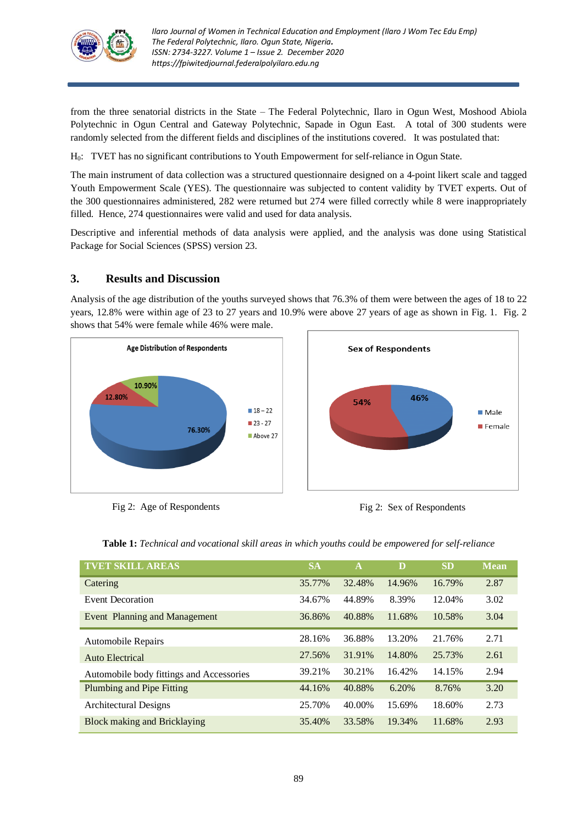

from the three senatorial districts in the State – The Federal Polytechnic, Ilaro in Ogun West, Moshood Abiola Polytechnic in Ogun Central and Gateway Polytechnic, Sapade in Ogun East. A total of 300 students were randomly selected from the different fields and disciplines of the institutions covered. It was postulated that:

H0: TVET has no significant contributions to Youth Empowerment for self-reliance in Ogun State.

The main instrument of data collection was a structured questionnaire designed on a 4-point likert scale and tagged Youth Empowerment Scale (YES). The questionnaire was subjected to content validity by TVET experts. Out of the 300 questionnaires administered, 282 were returned but 274 were filled correctly while 8 were inappropriately filled. Hence, 274 questionnaires were valid and used for data analysis.

Descriptive and inferential methods of data analysis were applied, and the analysis was done using Statistical Package for Social Sciences (SPSS) version 23.

# **3. Results and Discussion**

Analysis of the age distribution of the youths surveyed shows that 76.3% of them were between the ages of 18 to 22 years, 12.8% were within age of 23 to 27 years and 10.9% were above 27 years of age as shown in Fig. 1. Fig. 2 shows that 54% were female while 46% were male.



Fig 2: Age of Respondents Fig 2: Sex of Respondents





| <b>TVET SKILL AREAS</b>                  | <b>SA</b> | $\mathbf A$ | D      | <b>SD</b> | <b>Mean</b> |
|------------------------------------------|-----------|-------------|--------|-----------|-------------|
| Catering                                 | 35.77%    | 32.48%      | 14.96% | 16.79%    | 2.87        |
| <b>Event Decoration</b>                  | 34.67%    | 44.89%      | 8.39%  | 12.04%    | 3.02        |
| Event Planning and Management            | 36.86%    | 40.88%      | 11.68% | 10.58%    | 3.04        |
| <b>Automobile Repairs</b>                | 28.16%    | 36.88%      | 13.20% | 21.76%    | 2.71        |
| Auto Electrical                          | 27.56%    | 31.91%      | 14.80% | 25.73%    | 2.61        |
| Automobile body fittings and Accessories | 39.21%    | 30.21%      | 16.42% | 14.15%    | 2.94        |
| Plumbing and Pipe Fitting                | 44.16%    | 40.88%      | 6.20%  | 8.76%     | 3.20        |
| Architectural Designs                    | 25.70%    | 40.00%      | 15.69% | 18.60%    | 2.73        |
| <b>Block making and Bricklaying</b>      | 35.40%    | 33.58%      | 19.34% | 11.68%    | 2.93        |

**Table 1:** *Technical and vocational skill areas in which youths could be empowered for self-reliance*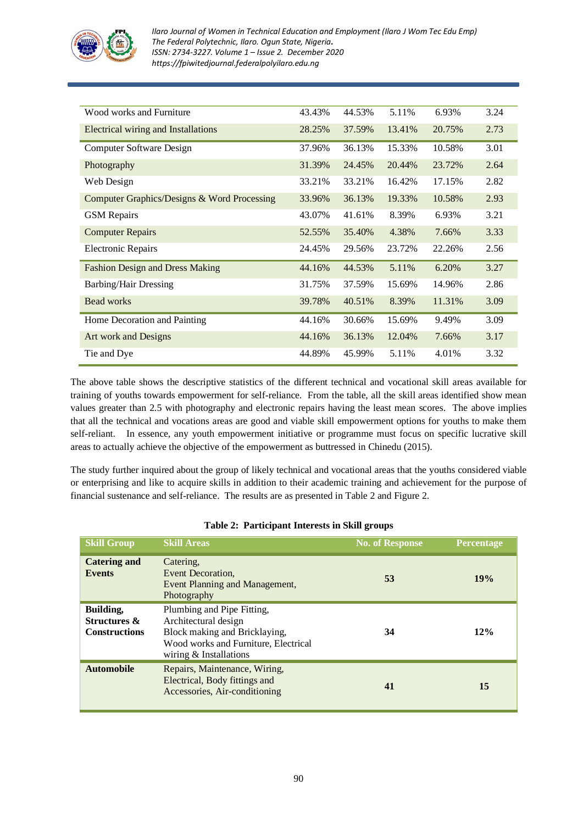

| Wood works and Furniture                    | 43.43% | 44.53% | 5.11%  | 6.93%  | 3.24 |
|---------------------------------------------|--------|--------|--------|--------|------|
| Electrical wiring and Installations         | 28.25% | 37.59% | 13.41% | 20.75% | 2.73 |
| Computer Software Design                    | 37.96% | 36.13% | 15.33% | 10.58% | 3.01 |
| Photography                                 | 31.39% | 24.45% | 20.44% | 23.72% | 2.64 |
| Web Design                                  | 33.21% | 33.21% | 16.42% | 17.15% | 2.82 |
| Computer Graphics/Designs & Word Processing | 33.96% | 36.13% | 19.33% | 10.58% | 2.93 |
| <b>GSM</b> Repairs                          | 43.07% | 41.61% | 8.39%  | 6.93%  | 3.21 |
| <b>Computer Repairs</b>                     | 52.55% | 35.40% | 4.38%  | 7.66%  | 3.33 |
| <b>Electronic Repairs</b>                   | 24.45% | 29.56% | 23.72% | 22.26% | 2.56 |
| <b>Fashion Design and Dress Making</b>      | 44.16% | 44.53% | 5.11%  | 6.20%  | 3.27 |
| <b>Barbing/Hair Dressing</b>                | 31.75% | 37.59% | 15.69% | 14.96% | 2.86 |
| Bead works                                  | 39.78% | 40.51% | 8.39%  | 11.31% | 3.09 |
| Home Decoration and Painting                | 44.16% | 30.66% | 15.69% | 9.49%  | 3.09 |
| Art work and Designs                        | 44.16% | 36.13% | 12.04% | 7.66%  | 3.17 |
| Tie and Dye                                 | 44.89% | 45.99% | 5.11%  | 4.01%  | 3.32 |

The above table shows the descriptive statistics of the different technical and vocational skill areas available for training of youths towards empowerment for self-reliance. From the table, all the skill areas identified show mean values greater than 2.5 with photography and electronic repairs having the least mean scores. The above implies that all the technical and vocations areas are good and viable skill empowerment options for youths to make them self-reliant. In essence, any youth empowerment initiative or programme must focus on specific lucrative skill areas to actually achieve the objective of the empowerment as buttressed in Chinedu (2015).

The study further inquired about the group of likely technical and vocational areas that the youths considered viable or enterprising and like to acquire skills in addition to their academic training and achievement for the purpose of financial sustenance and self-reliance. The results are as presented in Table 2 and Figure 2.

| <b>Skill Group</b>                                                  | <b>Skill Areas</b>                                                                                                                                    | <b>No. of Response</b> | <b>Percentage</b> |
|---------------------------------------------------------------------|-------------------------------------------------------------------------------------------------------------------------------------------------------|------------------------|-------------------|
| <b>Catering and</b><br><b>Events</b>                                | Catering.<br>Event Decoration.<br>Event Planning and Management,<br>Photography                                                                       | 53                     | 19%               |
| <b>Building,</b><br><b>Structures &amp;</b><br><b>Constructions</b> | Plumbing and Pipe Fitting,<br>Architectural design<br>Block making and Bricklaying,<br>Wood works and Furniture, Electrical<br>wiring & Installations | 34                     | 12%               |
| <b>Automobile</b>                                                   | Repairs, Maintenance, Wiring,<br>Electrical, Body fittings and<br>Accessories, Air-conditioning                                                       | 41                     | 15                |

### **Table 2: Participant Interests in Skill groups**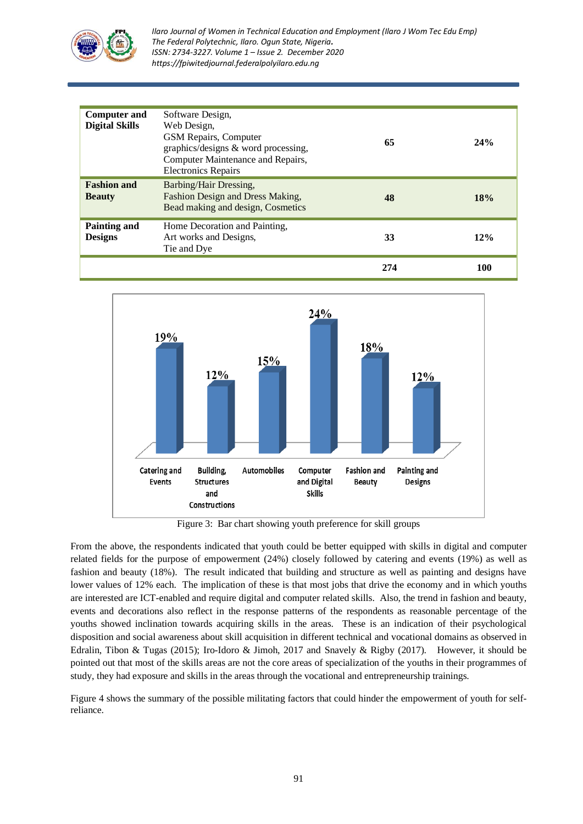

*Ilaro Journal of Women in Technical Education and Employment (Ilaro J Wom Tec Edu Emp) The Federal Polytechnic, Ilaro. Ogun State, Nigeria. ISSN: 2734-3227. Volume 1 – Issue 2. December 2020 https://fpiwitedjournal.federalpolyilaro.edu.ng*

| <b>Computer and</b><br><b>Digital Skills</b> | Software Design,<br>Web Design,<br><b>GSM Repairs, Computer</b><br>graphics/designs & word processing,<br>Computer Maintenance and Repairs,<br><b>Electronics Repairs</b> | 65  | 24% |
|----------------------------------------------|---------------------------------------------------------------------------------------------------------------------------------------------------------------------------|-----|-----|
| <b>Fashion and</b><br><b>Beauty</b>          | Barbing/Hair Dressing,<br>Fashion Design and Dress Making,<br>Bead making and design, Cosmetics                                                                           | 48  | 18% |
| Painting and<br><b>Designs</b>               | Home Decoration and Painting,<br>Art works and Designs,<br>Tie and Dye                                                                                                    | 33  | 12% |
|                                              |                                                                                                                                                                           | 274 | 100 |



Figure 3: Bar chart showing youth preference for skill groups

From the above, the respondents indicated that youth could be better equipped with skills in digital and computer related fields for the purpose of empowerment (24%) closely followed by catering and events (19%) as well as fashion and beauty (18%). The result indicated that building and structure as well as painting and designs have lower values of 12% each. The implication of these is that most jobs that drive the economy and in which youths are interested are ICT-enabled and require digital and computer related skills. Also, the trend in fashion and beauty, events and decorations also reflect in the response patterns of the respondents as reasonable percentage of the youths showed inclination towards acquiring skills in the areas. These is an indication of their psychological disposition and social awareness about skill acquisition in different technical and vocational domains as observed in Edralin, Tibon & Tugas (2015); Iro-Idoro & Jimoh, 2017 and Snavely & Rigby (2017). However, it should be pointed out that most of the skills areas are not the core areas of specialization of the youths in their programmes of study, they had exposure and skills in the areas through the vocational and entrepreneurship trainings.

Figure 4 shows the summary of the possible militating factors that could hinder the empowerment of youth for selfreliance.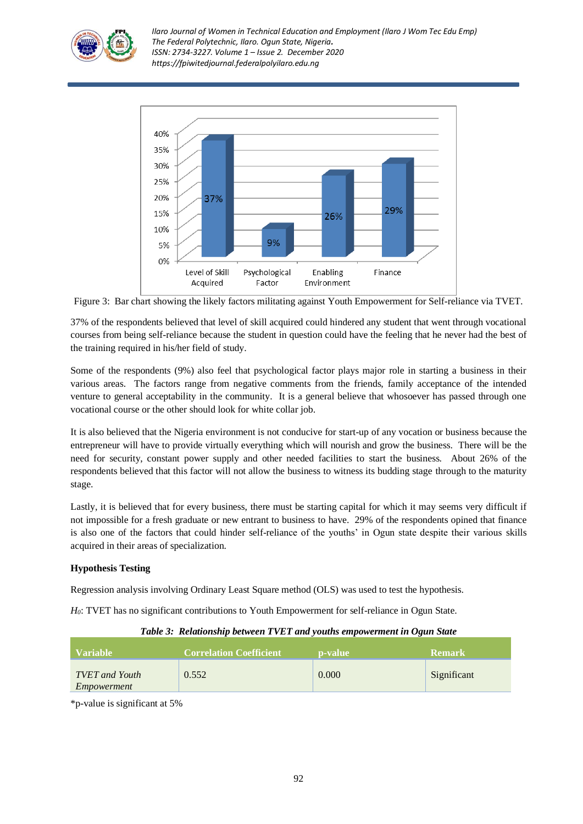

*Ilaro Journal of Women in Technical Education and Employment (Ilaro J Wom Tec Edu Emp) The Federal Polytechnic, Ilaro. Ogun State, Nigeria. ISSN: 2734-3227. Volume 1 – Issue 2. December 2020 https://fpiwitedjournal.federalpolyilaro.edu.ng*



Figure 3: Bar chart showing the likely factors militating against Youth Empowerment for Self-reliance via TVET*.*

37% of the respondents believed that level of skill acquired could hindered any student that went through vocational courses from being self-reliance because the student in question could have the feeling that he never had the best of the training required in his/her field of study.

Some of the respondents (9%) also feel that psychological factor plays major role in starting a business in their various areas. The factors range from negative comments from the friends, family acceptance of the intended venture to general acceptability in the community. It is a general believe that whosoever has passed through one vocational course or the other should look for white collar job.

It is also believed that the Nigeria environment is not conducive for start-up of any vocation or business because the entrepreneur will have to provide virtually everything which will nourish and grow the business. There will be the need for security, constant power supply and other needed facilities to start the business. About 26% of the respondents believed that this factor will not allow the business to witness its budding stage through to the maturity stage.

Lastly, it is believed that for every business, there must be starting capital for which it may seems very difficult if not impossible for a fresh graduate or new entrant to business to have. 29% of the respondents opined that finance is also one of the factors that could hinder self-reliance of the youths' in Ogun state despite their various skills acquired in their areas of specialization.

# **Hypothesis Testing**

Regression analysis involving Ordinary Least Square method (OLS) was used to test the hypothesis.

*H0*: TVET has no significant contributions to Youth Empowerment for self-reliance in Ogun State.

### *Table 3: Relationship between TVET and youths empowerment in Ogun State*

| Variable                             | Correlation Coefficient | <b>p</b> -value | ' Remark    |
|--------------------------------------|-------------------------|-----------------|-------------|
| <b>TVET</b> and Youth<br>Empowerment | 0.552                   | 0.000           | Significant |

\*p-value is significant at 5%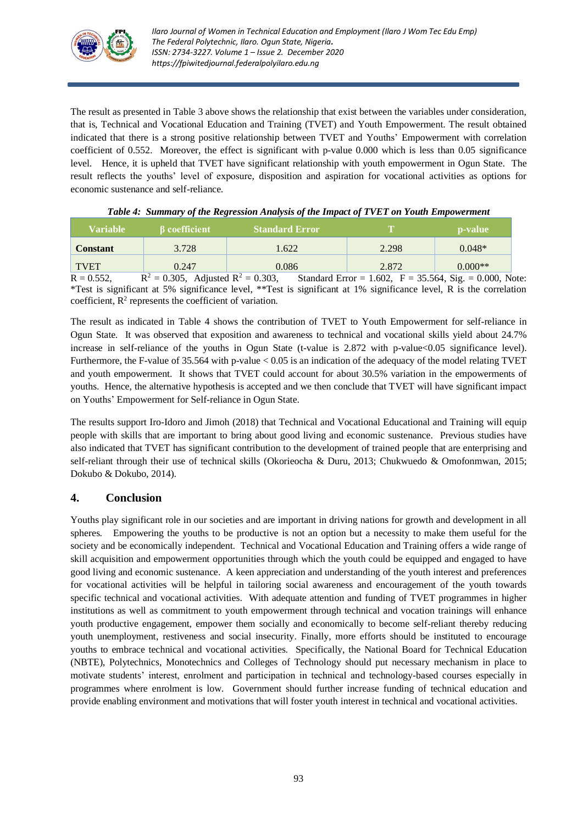

The result as presented in Table 3 above shows the relationship that exist between the variables under consideration, that is, Technical and Vocational Education and Training (TVET) and Youth Empowerment. The result obtained indicated that there is a strong positive relationship between TVET and Youths' Empowerment with correlation coefficient of 0.552. Moreover, the effect is significant with p-value 0.000 which is less than 0.05 significance level. Hence, it is upheld that TVET have significant relationship with youth empowerment in Ogun State. The result reflects the youths' level of exposure, disposition and aspiration for vocational activities as options for economic sustenance and self-reliance.

| Variable                     | <b>B</b> coefficient      | <b>Standard Error</b> | æ                                                    | p-value       |
|------------------------------|---------------------------|-----------------------|------------------------------------------------------|---------------|
| <b>Constant</b>              | 3.728                     | 1.622                 | 2.298                                                | $0.048*$      |
| <b>TVET</b>                  | 0.247                     | 0.086                 | 2.872                                                | $0.000**$     |
| $\mathbf{D} \cap \mathbf{C}$ | n.2<br>$0.205 + 1$ $1.22$ | 0.202                 | $0.11 \text{ F}$ $1.600 \text{ F}$ $2.554 \text{ G}$ | $0.000 \pm 1$ |

|  |  |  |  |  | Table 4: Summary of the Regression Analysis of the Impact of TVET on Youth Empowerment |
|--|--|--|--|--|----------------------------------------------------------------------------------------|
|--|--|--|--|--|----------------------------------------------------------------------------------------|

 $R = 0.552$ ,  $R^2 = 0.305$ , Adjusted  $R^2 = 0.303$ , Standard Error = 1.602,  $F = 35.564$ , Sig. = 0.000, Note: \*Test is significant at 5% significance level, \*\*Test is significant at 1% significance level, R is the correlation coefficient,  $R^2$  represents the coefficient of variation.

The result as indicated in Table 4 shows the contribution of TVET to Youth Empowerment for self-reliance in Ogun State. It was observed that exposition and awareness to technical and vocational skills yield about 24.7% increase in self-reliance of the youths in Ogun State (t-value is 2.872 with p-value <0.05 significance level). Furthermore, the F-value of 35.564 with p-value < 0.05 is an indication of the adequacy of the model relating TVET and youth empowerment. It shows that TVET could account for about 30.5% variation in the empowerments of youths. Hence, the alternative hypothesis is accepted and we then conclude that TVET will have significant impact on Youths' Empowerment for Self-reliance in Ogun State.

The results support Iro-Idoro and Jimoh (2018) that Technical and Vocational Educational and Training will equip people with skills that are important to bring about good living and economic sustenance. Previous studies have also indicated that TVET has significant contribution to the development of trained people that are enterprising and self-reliant through their use of technical skills (Okorieocha & Duru, 2013; Chukwuedo & Omofonmwan, 2015; Dokubo & Dokubo, 2014).

# **4. Conclusion**

Youths play significant role in our societies and are important in driving nations for growth and development in all spheres. Empowering the youths to be productive is not an option but a necessity to make them useful for the society and be economically independent. Technical and Vocational Education and Training offers a wide range of skill acquisition and empowerment opportunities through which the youth could be equipped and engaged to have good living and economic sustenance. A keen appreciation and understanding of the youth interest and preferences for vocational activities will be helpful in tailoring social awareness and encouragement of the youth towards specific technical and vocational activities. With adequate attention and funding of TVET programmes in higher institutions as well as commitment to youth empowerment through technical and vocation trainings will enhance youth productive engagement, empower them socially and economically to become self-reliant thereby reducing youth unemployment, restiveness and social insecurity. Finally, more efforts should be instituted to encourage youths to embrace technical and vocational activities. Specifically, the National Board for Technical Education (NBTE), Polytechnics, Monotechnics and Colleges of Technology should put necessary mechanism in place to motivate students' interest, enrolment and participation in technical and technology-based courses especially in programmes where enrolment is low. Government should further increase funding of technical education and provide enabling environment and motivations that will foster youth interest in technical and vocational activities.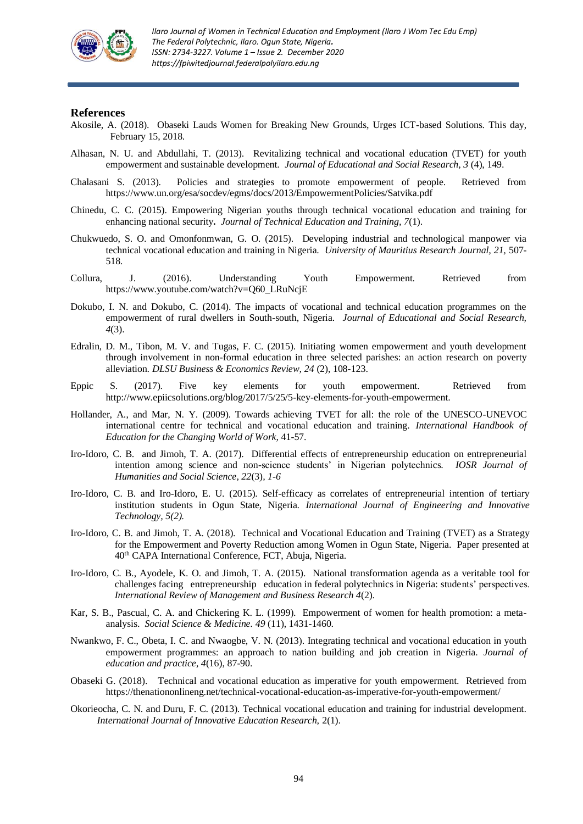

#### **References**

- Akosile, A. (2018). Obaseki Lauds Women for Breaking New Grounds, Urges ICT-based Solutions. This day, February 15, 2018.
- Alhasan, N. U. and Abdullahi, T. (2013). Revitalizing technical and vocational education (TVET) for youth empowerment and sustainable development. *Journal of Educational and Social Research, 3* (4), 149.
- Chalasani S. (2013). Policies and strategies to promote empowerment of people. Retrieved from <https://www.un.org/esa/socdev/egms/docs/2013/EmpowermentPolicies/Satvika.pdf>
- Chinedu, C. C. (2015). Empowering Nigerian youths through technical vocational education and training for enhancing national security*. Journal of Technical Education and Training, 7*(1).
- Chukwuedo, S. O. and Omonfonmwan, G. O. (2015). Developing industrial and technological manpower via technical vocational education and training in Nigeria. *University of Mauritius Research Journal, 21,* 507- 518*.*
- Collura, J. (2016). Understanding Youth Empowerment. Retrieved from https://www.youtube.com/watch?v=Q60\_LRuNcjE
- Dokubo, I. N. and Dokubo, C. (2014). The impacts of vocational and technical education programmes on the empowerment of rural dwellers in South-south, Nigeria. *Journal of Educational and Social Research, 4*(3).
- Edralin, D. M., Tibon, M. V. and Tugas, F. C. (2015). Initiating women empowerment and youth development through involvement in non-formal education in three selected parishes: an action research on poverty alleviation. *DLSU Business & Economics Review, 24* (2), 108-123.
- Eppic S. (2017). Five key elements for youth empowerment. Retrieved from [http://www.epiicsolutions.org/blog/2017/5/25/5-key-elements-for-youth-empowerment.](http://www.epiicsolutions.org/blog/2017/5/25/5-key-elements-for-youth-empowerment)
- Hollander, A., and Mar, N. Y. (2009). Towards achieving TVET for all: the role of the UNESCO-UNEVOC international centre for technical and vocational education and training. *International Handbook of Education for the Changing World of Work,* 41-57.
- Iro-Idoro, C. B. and Jimoh, T. A. (2017). Differential effects of entrepreneurship education on entrepreneurial intention among science and non-science students' in Nigerian polytechnics. *IOSR Journal of Humanities and Social Science, 22*(3)*, 1-6*
- Iro-Idoro, C. B. and Iro-Idoro, E. U. (2015). Self-efficacy as correlates of entrepreneurial intention of tertiary institution students in Ogun State, Nigeria. *International Journal of Engineering and Innovative Technology, 5(2).*
- Iro-Idoro, C. B. and Jimoh, T. A. (2018). Technical and Vocational Education and Training (TVET) as a Strategy for the Empowerment and Poverty Reduction among Women in Ogun State, Nigeria. Paper presented at 40th CAPA International Conference, FCT, Abuja, Nigeria.
- Iro-Idoro, C. B., Ayodele, K. O. and Jimoh, T. A. (2015).National transformation agenda as a veritable tool for challenges facing entrepreneurship education in federal polytechnics in Nigeria: students' perspectives. *International Review of Management and Business Research 4*(2).
- Kar, S. B., Pascual, C. A. and Chickering K. L. (1999). Empowerment of women for health promotion: a metaanalysis. *Social Science & Medicine. 49* (11), 1431-1460.
- Nwankwo, F. C., Obeta, I. C. and Nwaogbe, V. N. (2013). Integrating technical and vocational education in youth empowerment programmes: an approach to nation building and job creation in Nigeria. *Journal of education and practice, 4*(16), 87-90.
- Obaseki G. (2018). Technical and vocational education as imperative for youth empowerment. Retrieved from <https://thenationonlineng.net/technical-vocational-education-as-imperative-for-youth-empowerment/>
- Okorieocha, C. N. and Duru, F. C. (2013). Technical vocational education and training for industrial development. *International Journal of Innovative Education Research,* 2(1).